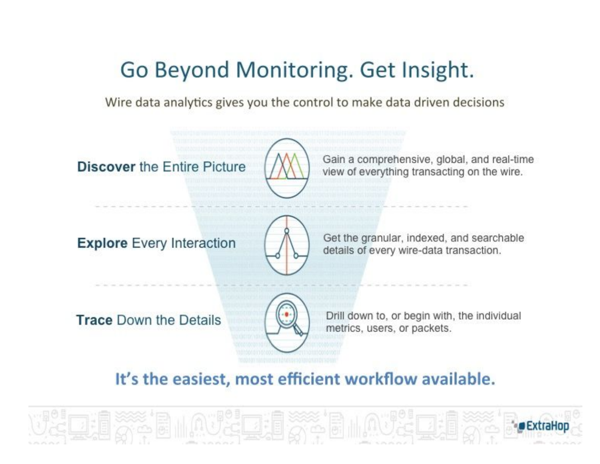# Go Beyond Monitoring. Get Insight.

Wire data analytics gives you the control to make data driven decisions

**Discover the Entire Picture** 



Gain a comprehensive, global, and real-time view of everything transacting on the wire.

**Explore** Every Interaction



Get the granular, indexed, and searchable details of every wire-data transaction.

**Trace Down the Details** 



Drill down to, or begin with, the individual metrics, users, or packets.

## It's the easiest, most efficient workflow available.

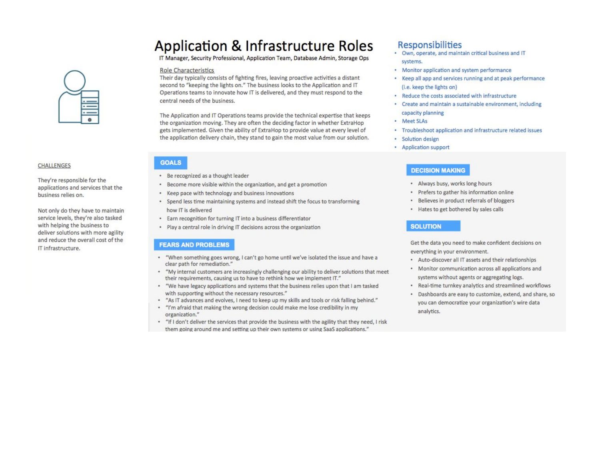### **Application & Infrastructure Roles**

IT Manager, Security Professional, Application Team, Database Admin, Storage Ops

### Role Characteristics

Their day typically consists of fighting fires, leaving proactive activities a distant second to "keeping the lights on." The business looks to the Application and IT Operations teams to innovate how IT is delivered, and they must respond to the central needs of the business.

The Application and IT Operations teams provide the technical expertise that keeps the organization moving. They are often the deciding factor in whether ExtraHop gets implemented. Given the ability of ExtraHop to provide value at every level of the application delivery chain, they stand to gain the most value from our solution.

### **CHALLENGES**

They're responsible for the applications and services that the business relies on.

Not only do they have to maintain service levels, they're also tasked with helping the business to deliver solutions with more agility and reduce the overall cost of the IT infrastructure.

### **GOALS**

- Be recognized as a thought leader
- \* Become more visible within the organization, and get a promotion
- Keep pace with technology and business innovations
- Spend less time maintaining systems and instead shift the focus to transforming how IT is delivered
- . Earn recognition for turning IT into a business differentiator
- . Play a central role in driving IT decisions across the organization

### **FEARS AND PROBLEMS**

- . "When something goes wrong, I can't go home until we've isolated the issue and have a clear path for remediation."
- "My internal customers are increasingly challenging our ability to deliver solutions that meet their requirements, causing us to have to rethink how we implement IT."
- . "We have legacy applications and systems that the business relies upon that I am tasked with supporting without the necessary resources."
- \* "As IT advances and evolves, I need to keep up my skills and tools or risk falling behind."
- \* "I'm afraid that making the wrong decision could make me lose credibility in my organization."
- . "If I don't deliver the services that provide the business with the agility that they need, I risk them going around me and setting up their own systems or using SaaS applications."

### Responsibilities

- · Own, operate, and maintain critical business and IT systems.
- Monitor application and system performance
- Keep all app and services running and at peak performance (i.e. keep the lights on)
- . Reduce the costs associated with infrastructure
- Create and maintain a sustainable environment, including capacity planning
- Meet SLAs
- Troubleshoot application and infrastructure related issues
- · Solution design
- Application support

### **DECISION MAKING**

- . Always busy, works long hours
- · Prefers to gather his information online
- $\frac{1}{2}$ Believes in product referrals of bloggers
- . Hates to get bothered by sales calls

### **SOLUTION**

Get the data you need to make confident decisions on everything in your environment.

- . Auto-discover all IT assets and their relationships
- Monitor communication across all applications and systems without agents or aggregating logs.
- . Real-time turnkey analytics and streamlined workflows
- . Dashboards are easy to customize, extend, and share, so you can democratize your organization's wire data analytics.

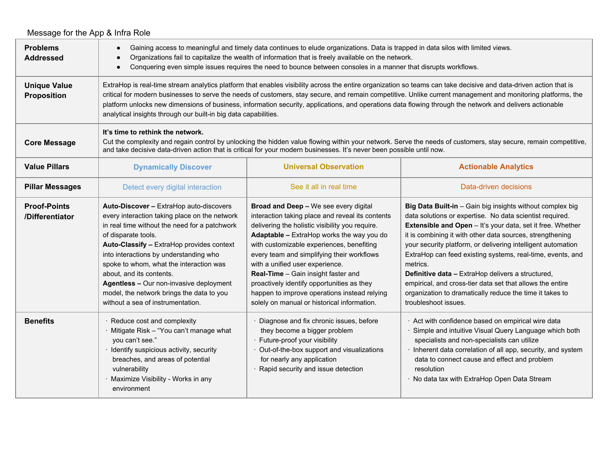|                                           | Message for the App & Infra Role                                                                                                                                                                                                                                                                                                                                                                                                                                                                                                                                |                                                                                                                                                                                                                                                                                                                                                                                                                                                                                                             |                                                                                                                                                                                                                                                                                                                                                                                                                                                                                                                                                                                                  |  |  |  |  |
|-------------------------------------------|-----------------------------------------------------------------------------------------------------------------------------------------------------------------------------------------------------------------------------------------------------------------------------------------------------------------------------------------------------------------------------------------------------------------------------------------------------------------------------------------------------------------------------------------------------------------|-------------------------------------------------------------------------------------------------------------------------------------------------------------------------------------------------------------------------------------------------------------------------------------------------------------------------------------------------------------------------------------------------------------------------------------------------------------------------------------------------------------|--------------------------------------------------------------------------------------------------------------------------------------------------------------------------------------------------------------------------------------------------------------------------------------------------------------------------------------------------------------------------------------------------------------------------------------------------------------------------------------------------------------------------------------------------------------------------------------------------|--|--|--|--|
| <b>Problems</b><br><b>Addressed</b>       | Gaining access to meaningful and timely data continues to elude organizations. Data is trapped in data silos with limited views.<br>$\bullet$<br>Organizations fail to capitalize the wealth of information that is freely available on the network.<br>$\bullet$<br>Conquering even simple issues requires the need to bounce between consoles in a manner that disrupts workflows.<br>$\bullet$                                                                                                                                                               |                                                                                                                                                                                                                                                                                                                                                                                                                                                                                                             |                                                                                                                                                                                                                                                                                                                                                                                                                                                                                                                                                                                                  |  |  |  |  |
| <b>Unique Value</b><br><b>Proposition</b> | ExtraHop is real-time stream analytics platform that enables visibility across the entire organization so teams can take decisive and data-driven action that is<br>critical for modern businesses to serve the needs of customers, stay secure, and remain competitive. Unlike current management and monitoring platforms, the<br>platform unlocks new dimensions of business, information security, applications, and operations data flowing through the network and delivers actionable<br>analytical insights through our built-in big data capabilities. |                                                                                                                                                                                                                                                                                                                                                                                                                                                                                                             |                                                                                                                                                                                                                                                                                                                                                                                                                                                                                                                                                                                                  |  |  |  |  |
| <b>Core Message</b>                       | It's time to rethink the network.<br>Cut the complexity and regain control by unlocking the hidden value flowing within your network. Serve the needs of customers, stay secure, remain competitive,<br>and take decisive data-driven action that is critical for your modern businesses. It's never been possible until now.                                                                                                                                                                                                                                   |                                                                                                                                                                                                                                                                                                                                                                                                                                                                                                             |                                                                                                                                                                                                                                                                                                                                                                                                                                                                                                                                                                                                  |  |  |  |  |
| <b>Value Pillars</b>                      | <b>Dynamically Discover</b>                                                                                                                                                                                                                                                                                                                                                                                                                                                                                                                                     | <b>Universal Observation</b>                                                                                                                                                                                                                                                                                                                                                                                                                                                                                | <b>Actionable Analytics</b>                                                                                                                                                                                                                                                                                                                                                                                                                                                                                                                                                                      |  |  |  |  |
| <b>Pillar Messages</b>                    | Detect every digital interaction                                                                                                                                                                                                                                                                                                                                                                                                                                                                                                                                | See it all in real time                                                                                                                                                                                                                                                                                                                                                                                                                                                                                     | Data-driven decisions                                                                                                                                                                                                                                                                                                                                                                                                                                                                                                                                                                            |  |  |  |  |
| <b>Proof-Points</b><br>/Differentiator    | Auto-Discover - ExtraHop auto-discovers<br>every interaction taking place on the network<br>in real time without the need for a patchwork<br>of disparate tools.<br>Auto-Classify - ExtraHop provides context<br>into interactions by understanding who<br>spoke to whom, what the interaction was<br>about, and its contents.<br>Agentless - Our non-invasive deployment<br>model, the network brings the data to you<br>without a sea of instrumentation.                                                                                                     | Broad and Deep - We see every digital<br>interaction taking place and reveal its contents<br>delivering the holistic visibility you require.<br>Adaptable - ExtraHop works the way you do<br>with customizable experiences, benefiting<br>every team and simplifying their workflows<br>with a unified user experience.<br>Real-Time - Gain insight faster and<br>proactively identify opportunities as they<br>happen to improve operations instead relying<br>solely on manual or historical information. | Big Data Built-in - Gain big insights without complex big<br>data solutions or expertise. No data scientist required.<br>Extensible and Open - It's your data, set it free. Whether<br>it is combining it with other data sources, strengthening<br>your security platform, or delivering intelligent automation<br>ExtraHop can feed existing systems, real-time, events, and<br>metrics.<br>Definitive data - ExtraHop delivers a structured,<br>empirical, and cross-tier data set that allows the entire<br>organization to dramatically reduce the time it takes to<br>troubleshoot issues. |  |  |  |  |
| <b>Benefits</b>                           | Reduce cost and complexity<br>Mitigate Risk - "You can't manage what<br>you can't see."<br>· Identify suspicious activity, security<br>breaches, and areas of potential<br>vulnerability<br>Maximize Visibility - Works in any<br>environment                                                                                                                                                                                                                                                                                                                   | Diagnose and fix chronic issues, before<br>they become a bigger problem<br>· Future-proof your visibility<br>Out-of-the-box support and visualizations<br>for nearly any application<br>· Rapid security and issue detection                                                                                                                                                                                                                                                                                | Act with confidence based on empirical wire data<br>· Simple and intuitive Visual Query Language which both<br>specialists and non-specialists can utilize<br>· Inherent data correlation of all app, security, and system<br>data to connect cause and effect and problem<br>resolution<br>· No data tax with ExtraHop Open Data Stream                                                                                                                                                                                                                                                         |  |  |  |  |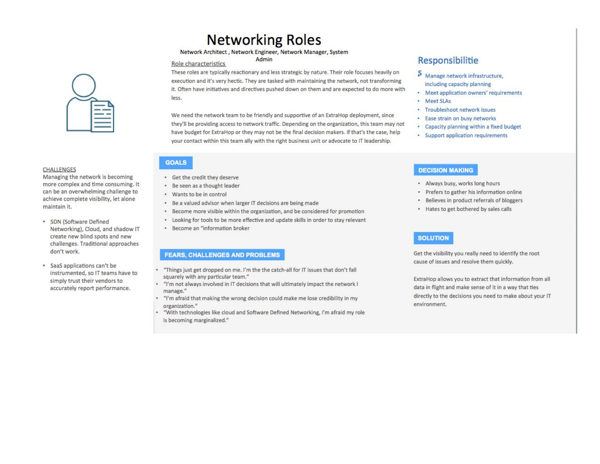### **Networking Roles**

Network Architect, Network Engineer, Network Manager, System Admin

### Role characteristics

These roles are typically reactionary and less strategic by nature. Their role focuses heavily on execution and it's very hectic. They are tasked with maintaining the network, not transforming it. Often have initiatives and directives pushed down on them and are expected to do more with less.

We need the network team to be friendly and supportive of an ExtraHop deployment, since they'll be providing access to network traffic. Depending on the organization, this team may not have budget for ExtraHop or they may not be the final decision makers. If that's the case, help your contact within this team ally with the right business unit or advocate to IT leadership.

· Get the credit they deserve • Be seen as a thought leader

**GOALS** 

- Wants to be in control
- . Be a valued advisor when larger IT decisions are being made
- Become more visible within the organization, and be considered for promotion
- Looking for tools to be more effective and update skills in order to stay relevant
- · Become an "information broker

### **FEARS, CHALLENGES AND PROBLEMS**

- \* "Things just get dropped on me. I'm the the catch-all for IT issues that don't fall squarely with any particular team."
- "I'm not always involved in IT decisions that will ultimately impact the network I manage."
- . "I'm afraid that making the wrong decision could make me lose credibility in my organization."
- "With technologies like cloud and Software Defined Networking, I'm afraid my role is becoming marginalized."

### Responsibilitie

- S Manage network infrastructure, including capacity planning
- · Meet application owners' requirements
- Meet SLAs
- · Troubleshoot network issues
- · Ease strain on busy networks
- Capacity planning within a fixed budget
- · Support application requirements

### **DECISION MAKING**

- . Always busy, works long hours
- · Prefers to gather his information online
- Believes in product referrals of bloggers
- . Hates to get bothered by sales calls

### **SOLUTION**

Get the visibility you really need to identify the root cause of issues and resolve them quickly.

ExtraHop allows you to extract that information from all data in flight and make sense of it in a way that ties directly to the decisions you need to make about your IT environment.



#### **CHALLENGES**

Managing the network is becoming more complex and time consuming. It can be an overwhelming challenge to achieve complete visibility, let alone maintain it.

- · SDN (Software Defined Networking), Cloud, and shadow IT create new blind spots and new challenges. Traditional approaches don't work.
- · SaaS applications can't be instrumented, so IT teams have to simply trust their vendors to accurately report performance.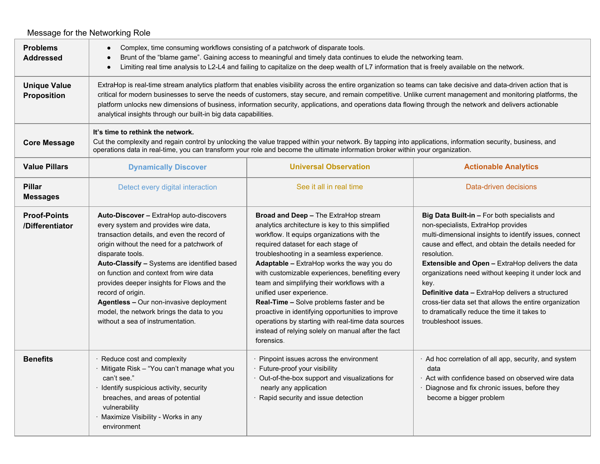#### Message for the Networking Role **Problems Addressed** ● Complex, time consuming workflows consisting of a patchwork of disparate tools. ● Brunt of the "blame game". Gaining access to meaningful and timely data continues to elude the networking team. ● Limiting real time analysis to L2-L4 and failing to capitalize on the deep wealth of L7 information that is freely available on the network. **Unique Value Proposition** ExtraHop is real-time stream analytics platform that enables visibility across the entire organization so teams can take decisive and data-driven action that is critical for modern businesses to serve the needs of customers, stay secure, and remain competitive. Unlike current management and monitoring platforms, the platform unlocks new dimensions of business, information security, applications, and operations data flowing through the network and delivers actionable analytical insights through our built-in big data capabilities. **Core Message It's time to rethink the network.** Cut the complexity and regain control by unlocking the value trapped within your network. By tapping into applications, information security, business, and operations data in real-time, you can transform your role and become the ultimate information broker within your organization. **Value Pillars Dynamically Discover Distance Analytics Universal Observation Actionable Analytics Pillar Messages** Detect every digital interaction **See it all in real time** Data-driven decisions **Data-driven decisions Proof-Points /Differentiator Auto-Discover –** ExtraHop auto-discovers every system and provides wire data, transaction details, and even the record of origin without the need for a patchwork of disparate tools. **Auto-Classify –** Systems are identified based on function and context from wire data provides deeper insights for Flows and the record of origin. **Agentless –** Our non-invasive deployment model, the network brings the data to you without a sea of instrumentation. **Broad and Deep –** The ExtraHop stream analytics architecture is key to this simplified workflow. It equips organizations with the required dataset for each stage of troubleshooting in a seamless experience. **Adaptable –** ExtraHop works the way you do with customizable experiences, benefiting every team and simplifying their workflows with a unified user experience. **Real-Time –** Solve problems faster and be proactive in identifying opportunities to improve operations by starting with real-time data sources instead of relying solely on manual after the fact forensics. **Big Data Built-in –** For both specialists and non-specialists, ExtraHop provides multi-dimensional insights to identify issues, connect cause and effect, and obtain the details needed for resolution. **Extensible and Open –** ExtraHop delivers the data organizations need without keeping it under lock and key. **Definitive data –** ExtraHop delivers a structured cross-tier data set that allows the entire organization to dramatically reduce the time it takes to troubleshoot issues. **Benefits Reduce cost and complexity** · Mitigate Risk – "You can't manage what you can't see." · Identify suspicious activity, security breaches, and areas of potential vulnerability Maximize Visibility - Works in any environment Pinpoint issues across the environment · Future-proof your visibility · Out-of-the-box support and visualizations for nearly any application Rapid security and issue detection · Ad hoc correlation of all app, security, and system data · Act with confidence based on observed wire data Diagnose and fix chronic issues, before they become a bigger problem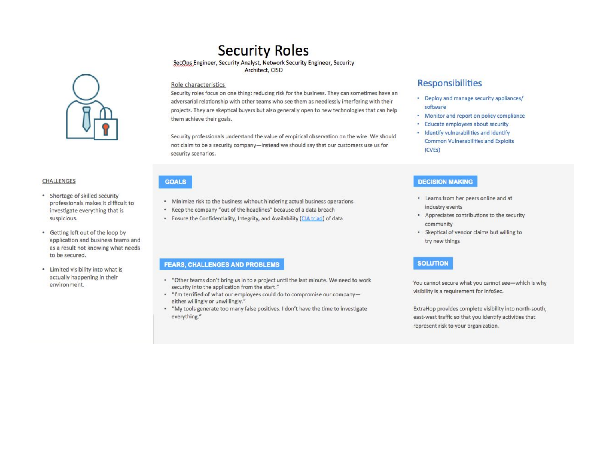

### **CHALLENGES**

- · Shortage of skilled security professionals makes it difficult to investigate everything that is suspicious.
- Getting left out of the loop by application and business teams and as a result not knowing what needs to be secured.
- Limited visibility into what is actually happening in their environment.

### **Security Roles**

### SecOps Engineer, Security Analyst, Network Security Engineer, Security

Architect, CISO

### Role characteristics

Security roles focus on one thing: reducing risk for the business. They can sometimes have an adversarial relationship with other teams who see them as needlessly interfering with their projects. They are skeptical buyers but also generally open to new technologies that can help them achieve their goals.

Security professionals understand the value of empirical observation on the wire. We should not claim to be a security company-instead we should say that our customers use us for security scenarios.

### **GOALS**

- Minimize risk to the business without hindering actual business operations
- \* Keep the company "out of the headlines" because of a data breach
- . Ensure the Confidentiality, Integrity, and Availability (CIA triad) of data

### **FEARS, CHALLENGES AND PROBLEMS**

- \* "Other teams don't bring us in to a project until the last minute. We need to work security into the application from the start."
- \* "I'm terrified of what our employees could do to compromise our companyeither willingly or unwillingly."
- \* "My tools generate too many false positives. I don't have the time to investigate everything."

### **Responsibilities**

- Deploy and manage security appliances/ software
- Monitor and report on policy compliance
- · Educate employees about security
- · Identify vulnerabilities and identify **Common Vulnerabilities and Exploits**  $(CVEs)$

### **DECISION MAKING**

- Learns from her peers online and at industry events
- Appreciates contributions to the security community
- Skeptical of vendor claims but willing to try new things

### **SOLUTION**

You cannot secure what you cannot see-which is why visibility is a requirement for InfoSec.

ExtraHop provides complete visibility into north-south, east-west traffic so that you identify activities that represent risk to your organization.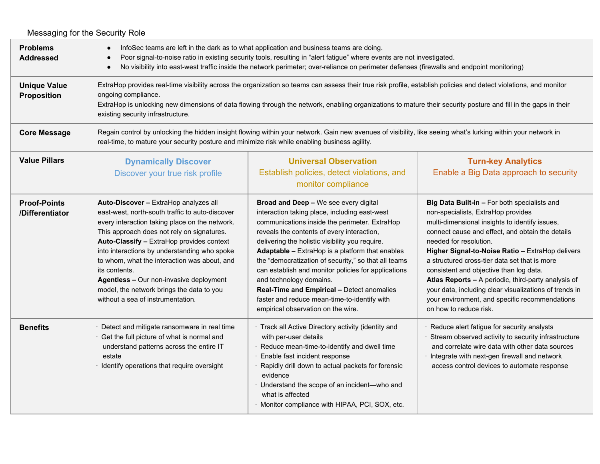| Messaging for the Security Role           |                                                                                                                                                                                                                                                                                                                                                                                                                                                                                     |                                                                                                                                                                                                                                                                                                                                                                                                                                                                                                                                                                                  |                                                                                                                                                                                                                                                                                                                                                                                                                                                                                                                                                                 |  |  |
|-------------------------------------------|-------------------------------------------------------------------------------------------------------------------------------------------------------------------------------------------------------------------------------------------------------------------------------------------------------------------------------------------------------------------------------------------------------------------------------------------------------------------------------------|----------------------------------------------------------------------------------------------------------------------------------------------------------------------------------------------------------------------------------------------------------------------------------------------------------------------------------------------------------------------------------------------------------------------------------------------------------------------------------------------------------------------------------------------------------------------------------|-----------------------------------------------------------------------------------------------------------------------------------------------------------------------------------------------------------------------------------------------------------------------------------------------------------------------------------------------------------------------------------------------------------------------------------------------------------------------------------------------------------------------------------------------------------------|--|--|
| <b>Problems</b><br><b>Addressed</b>       | InfoSec teams are left in the dark as to what application and business teams are doing.<br>Poor signal-to-noise ratio in existing security tools, resulting in "alert fatigue" where events are not investigated.<br>No visibility into east-west traffic inside the network perimeter; over-reliance on perimeter defenses (firewalls and endpoint monitoring)                                                                                                                     |                                                                                                                                                                                                                                                                                                                                                                                                                                                                                                                                                                                  |                                                                                                                                                                                                                                                                                                                                                                                                                                                                                                                                                                 |  |  |
| <b>Unique Value</b><br><b>Proposition</b> | ExtraHop provides real-time visibility across the organization so teams can assess their true risk profile, establish policies and detect violations, and monitor<br>ongoing compliance.<br>ExtraHop is unlocking new dimensions of data flowing through the network, enabling organizations to mature their security posture and fill in the gaps in their<br>existing security infrastructure.                                                                                    |                                                                                                                                                                                                                                                                                                                                                                                                                                                                                                                                                                                  |                                                                                                                                                                                                                                                                                                                                                                                                                                                                                                                                                                 |  |  |
| <b>Core Message</b>                       | Regain control by unlocking the hidden insight flowing within your network. Gain new avenues of visibility, like seeing what's lurking within your network in<br>real-time, to mature your security posture and minimize risk while enabling business agility.                                                                                                                                                                                                                      |                                                                                                                                                                                                                                                                                                                                                                                                                                                                                                                                                                                  |                                                                                                                                                                                                                                                                                                                                                                                                                                                                                                                                                                 |  |  |
| <b>Value Pillars</b>                      | <b>Dynamically Discover</b><br>Discover your true risk profile                                                                                                                                                                                                                                                                                                                                                                                                                      | <b>Universal Observation</b><br>Establish policies, detect violations, and<br>monitor compliance                                                                                                                                                                                                                                                                                                                                                                                                                                                                                 | <b>Turn-key Analytics</b><br>Enable a Big Data approach to security                                                                                                                                                                                                                                                                                                                                                                                                                                                                                             |  |  |
| <b>Proof-Points</b><br>/Differentiator    | Auto-Discover - ExtraHop analyzes all<br>east-west, north-south traffic to auto-discover<br>every interaction taking place on the network.<br>This approach does not rely on signatures.<br>Auto-Classify - ExtraHop provides context<br>into interactions by understanding who spoke<br>to whom, what the interaction was about, and<br>its contents.<br>Agentless - Our non-invasive deployment<br>model, the network brings the data to you<br>without a sea of instrumentation. | Broad and Deep - We see every digital<br>interaction taking place, including east-west<br>communications inside the perimeter. ExtraHop<br>reveals the contents of every interaction,<br>delivering the holistic visibility you require.<br><b>Adaptable - ExtraHop is a platform that enables</b><br>the "democratization of security," so that all teams<br>can establish and monitor policies for applications<br>and technology domains.<br>Real-Time and Empirical - Detect anomalies<br>faster and reduce mean-time-to-identify with<br>empirical observation on the wire. | Big Data Built-in - For both specialists and<br>non-specialists, ExtraHop provides<br>multi-dimensional insights to identify issues,<br>connect cause and effect, and obtain the details<br>needed for resolution.<br>Higher Signal-to-Noise Ratio - ExtraHop delivers<br>a structured cross-tier data set that is more<br>consistent and objective than log data.<br>Atlas Reports - A periodic, third-party analysis of<br>your data, including clear visualizations of trends in<br>your environment, and specific recommendations<br>on how to reduce risk. |  |  |
| <b>Benefits</b>                           | · Detect and mitigate ransomware in real time<br>Get the full picture of what is normal and<br>understand patterns across the entire IT<br>estate<br>· Identify operations that require oversight                                                                                                                                                                                                                                                                                   | · Track all Active Directory activity (identity and<br>with per-user details<br>· Reduce mean-time-to-identify and dwell time<br>Enable fast incident response<br>Rapidly drill down to actual packets for forensic<br>evidence<br>· Understand the scope of an incident-who and<br>what is affected<br>Monitor compliance with HIPAA, PCI, SOX, etc.                                                                                                                                                                                                                            | · Reduce alert fatigue for security analysts<br>Stream observed activity to security infrastructure<br>and correlate wire data with other data sources<br>· Integrate with next-gen firewall and network<br>access control devices to automate response                                                                                                                                                                                                                                                                                                         |  |  |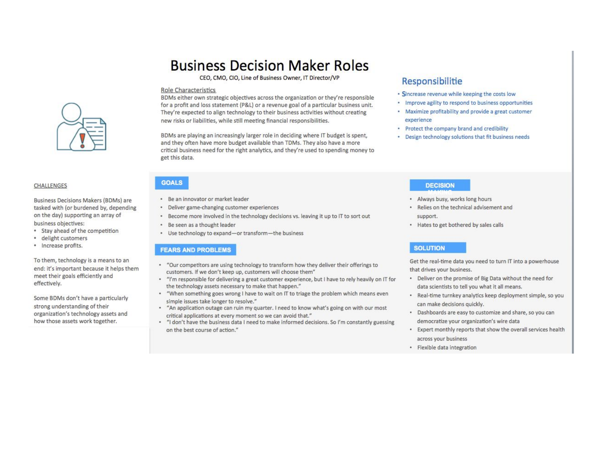### **CHALLENGES**

Business Decisions Makers (BDMs) are tasked with (or burdened by, depending on the day) supporting an array of business objectives:

- Stay ahead of the competition
- · delight customers
- · Increase profits.

To them, technology is a means to an end: it's important because it helps them meet their goals efficiently and effectively.

Some BDMs don't have a particularly strong understanding of their organization's technology assets and how those assets work together.

## **Business Decision Maker Roles**

CEO, CMO, CIO, Line of Business Owner, IT Director/VP

### **Role Characteristics**

BDMs either own strategic objectives across the organization or they're responsible for a profit and loss statement (P&L) or a revenue goal of a particular business unit. They're expected to align technology to their business activities without creating new risks or liabilities, while still meeting financial responsibilities.

BDMs are playing an increasingly larger role in deciding where IT budget is spent, and they often have more budget available than TDMs. They also have a more critical business need for the right analytics, and they're used to spending money to get this data.

### **GOALS**

- · Be an innovator or market leader
- · Deliver game-changing customer experiences
- . Become more involved in the technology decisions vs. leaving it up to IT to sort out
- · Be seen as a thought leader
- Use technology to expand-or transform-the business

### **FEARS AND PROBLEMS**

- \* "Our competitors are using technology to transform how they deliver their offerings to customers. If we don't keep up, customers will choose them"
- . "I'm responsible for delivering a great customer experience, but I have to rely heavily on IT for the technology assets necessary to make that happen."
- . "When something goes wrong I have to wait on IT to triage the problem which means even simple issues take longer to resolve."
- . "An application outage can ruin my quarter. I need to know what's going on with our most critical applications at every moment so we can avoid that."
- . "I don't have the business data I need to make informed decisions. So I'm constantly guessing on the best course of action."

### Responsibilitie

- · Sincrease revenue while keeping the costs low
- · Improve agility to respond to business opportunities
- · Maximize profitability and provide a great customer experience
- Protect the company brand and credibility
- Design technology solutions that fit business needs

### **DECISION**

- . Always busy, works long hours
- . Relies on the technical advisement and support.
- . Hates to get bothered by sales calls

### **SOLUTION**

Get the real-time data you need to turn IT into a powerhouse that drives your business.

- . Deliver on the promise of Big Data without the need for data scientists to tell you what it all means.
- · Real-time turnkey analytics keep deployment simple, so you can make decisions quickly.
- . Dashboards are easy to customize and share, so you can democratize your organization's wire data
- \* Expert monthly reports that show the overall services health across your business
- · Flexible data integration